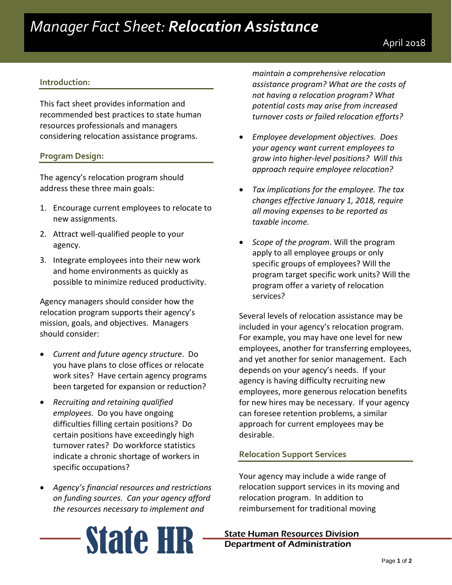# *Manager Fact Sheet: Relocation Assistance*

### **Introduction:**

This fact sheet provides information and recommended best practices to state human resources professionals and managers considering relocation assistance programs.

### **Program Design:**

The agency's relocation program should address these three main goals:

- 1. Encourage current employees to relocate to new assignments.
- 2. Attract well-qualified people to your agency.
- 3. Integrate employees into their new work and home environments as quickly as possible to minimize reduced productivity.

Agency managers should consider how the relocation program supports their agency's mission, goals, and objectives. Managers should consider:

- *Current and future agency structure*. Do you have plans to close offices or relocate work sites? Have certain agency programs been targeted for expansion or reduction?
- *Recruiting and retaining qualified employees.* Do you have ongoing difficulties filling certain positions? Do certain positions have exceedingly high turnover rates? Do workforce statistics indicate a chronic shortage of workers in specific occupations?
- *Agency's financial resources and restrictions on funding sources. Can your agency afford the resources necessary to implement and*

*maintain a comprehensive relocation assistance program? What are the costs of not having a relocation program? What potential costs may arise from increased turnover costs or failed relocation efforts?*

- *Employee development objectives. Does your agency want current employees to grow into higher-level positions? Will this approach require employee relocation?*
- *Tax implications for the employee. The tax changes effective January 1, 2018, require all moving expenses to be reported as taxable income.*
- *Scope of the program*. Will the program apply to all employee groups or only specific groups of employees? Will the program target specific work units? Will the program offer a variety of relocation services?

Several levels of relocation assistance may be included in your agency's relocation program. For example, you may have one level for new employees, another for transferring employees, and yet another for senior management. Each depends on your agency's needs. If your agency is having difficulty recruiting new employees, more generous relocation benefits for new hires may be necessary. If your agency can foresee retention problems, a similar approach for current employees may be desirable.

## **Relocation Support Services**

Your agency may include a wide range of relocation support services in its moving and relocation program. In addition to reimbursement for traditional moving



# Department of Administration